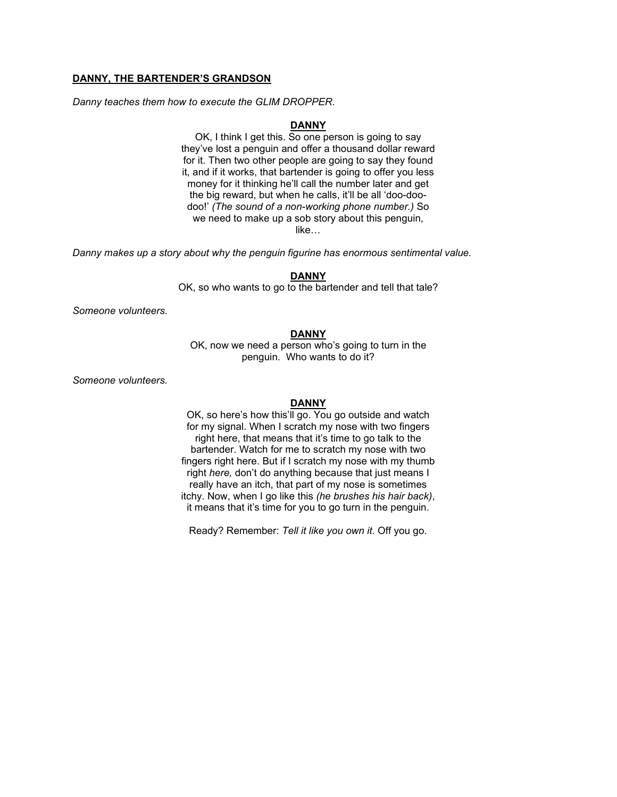## **DANNY, THE BARTENDER'S GRANDSON**

*Danny teaches them how to execute the GLIM DROPPER.*

# **DANNY**

OK, I think I get this. So one person is going to say they've lost a penguin and offer a thousand dollar reward for it. Then two other people are going to say they found it, and if it works, that bartender is going to offer you less money for it thinking he'll call the number later and get the big reward, but when he calls, it'll be all 'doo-doodoo!' *(The sound of a non-working phone number.)* So we need to make up a sob story about this penguin, like…

*Danny makes up a story about why the penguin figurine has enormous sentimental value.*

#### **DANNY**

OK, so who wants to go to the bartender and tell that tale?

*Someone volunteers.*

# **DANNY**

OK, now we need a person who's going to turn in the penguin. Who wants to do it?

*Someone volunteers.*

#### **DANNY**

OK, so here's how this'll go. You go outside and watch for my signal. When I scratch my nose with two fingers right here, that means that it's time to go talk to the bartender. Watch for me to scratch my nose with two fingers right here. But if I scratch my nose with my thumb right *here,* don't do anything because that just means I really have an itch, that part of my nose is sometimes itchy. Now, when I go like this *(he brushes his hair back)*, it means that it's time for you to go turn in the penguin.

Ready? Remember: *Tell it like you own it*. Off you go.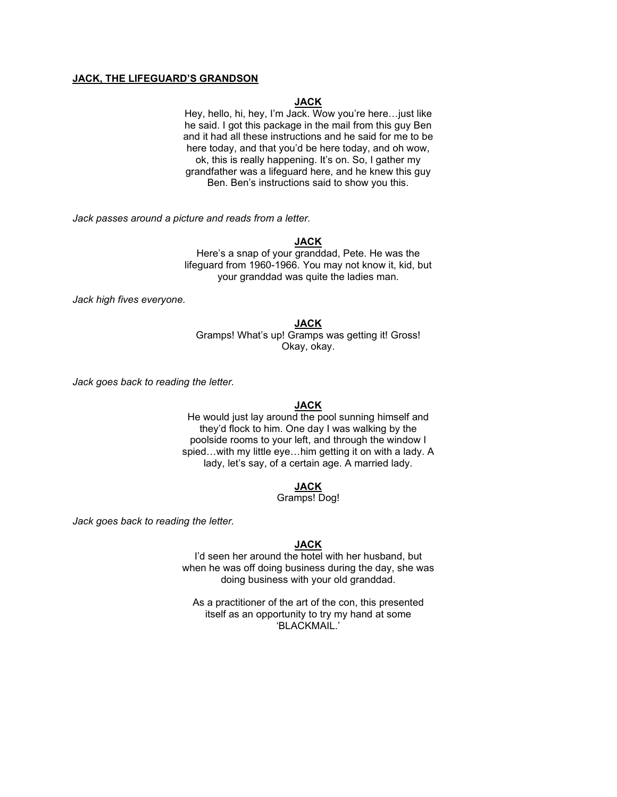## **JACK, THE LIFEGUARD'S GRANDSON**

# **JACK**

Hey, hello, hi, hey, I'm Jack. Wow you're here…just like he said. I got this package in the mail from this guy Ben and it had all these instructions and he said for me to be here today, and that you'd be here today, and oh wow, ok, this is really happening. It's on. So, I gather my grandfather was a lifeguard here, and he knew this guy Ben. Ben's instructions said to show you this.

*Jack passes around a picture and reads from a letter.*

## **JACK**

Here's a snap of your granddad, Pete. He was the lifeguard from 1960-1966. You may not know it, kid, but your granddad was quite the ladies man.

*Jack high fives everyone.*

### **JACK**

Gramps! What's up! Gramps was getting it! Gross! Okay, okay.

*Jack goes back to reading the letter.*

### **JACK**

He would just lay around the pool sunning himself and they'd flock to him. One day I was walking by the poolside rooms to your left, and through the window I spied…with my little eye…him getting it on with a lady. A lady, let's say, of a certain age. A married lady.

## **JACK**

# Gramps! Dog!

*Jack goes back to reading the letter.*

### **JACK**

I'd seen her around the hotel with her husband, but when he was off doing business during the day, she was doing business with your old granddad.

As a practitioner of the art of the con, this presented itself as an opportunity to try my hand at some 'BLACKMAIL.'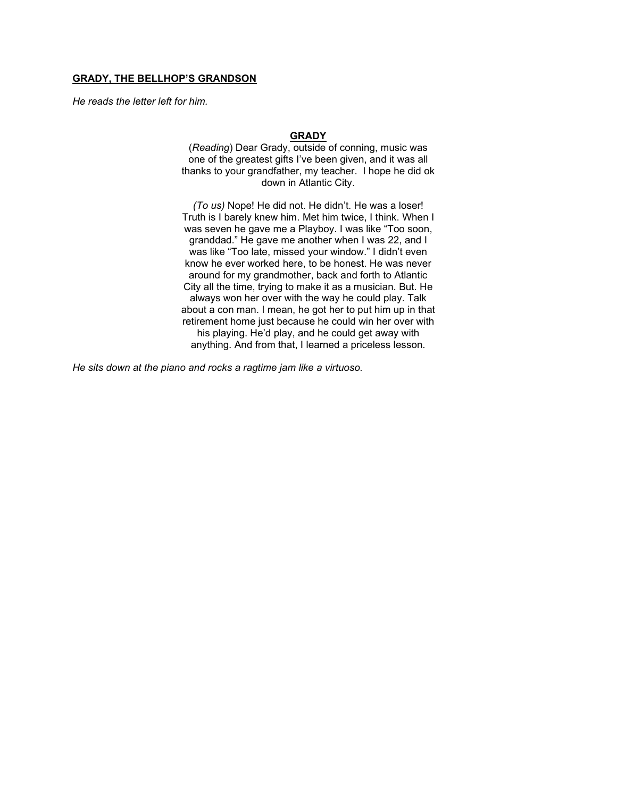## **GRADY, THE BELLHOP'S GRANDSON**

*He reads the letter left for him.*

### **GRADY**

(*Reading*) Dear Grady, outside of conning, music was one of the greatest gifts I've been given, and it was all thanks to your grandfather, my teacher. I hope he did ok down in Atlantic City.

*(To us)* Nope! He did not. He didn't. He was a loser! Truth is I barely knew him. Met him twice, I think. When I was seven he gave me a Playboy. I was like "Too soon, granddad." He gave me another when I was 22, and I was like "Too late, missed your window." I didn't even know he ever worked here, to be honest. He was never around for my grandmother, back and forth to Atlantic City all the time, trying to make it as a musician. But. He always won her over with the way he could play. Talk about a con man. I mean, he got her to put him up in that retirement home just because he could win her over with his playing. He'd play, and he could get away with anything. And from that, I learned a priceless lesson.

*He sits down at the piano and rocks a ragtime jam like a virtuoso.*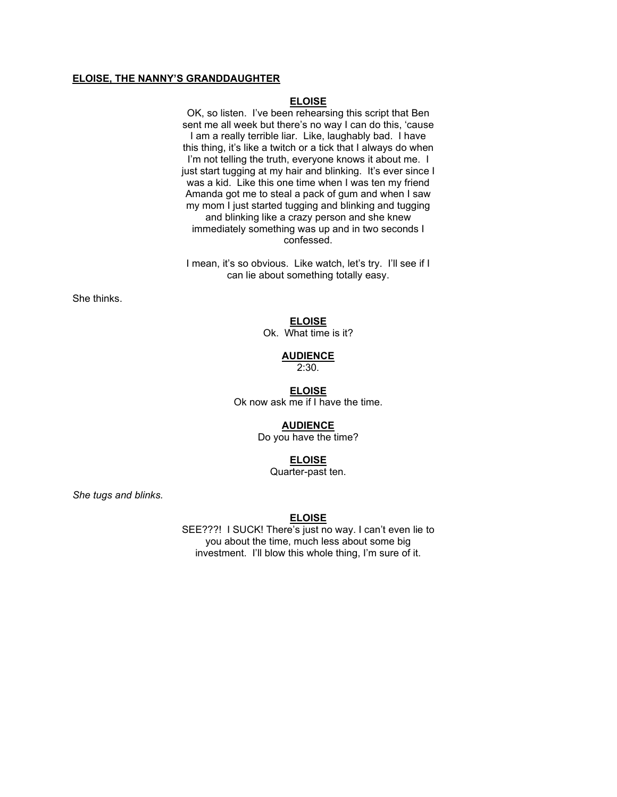## **ELOISE, THE NANNY'S GRANDDAUGHTER**

## **ELOISE**

OK, so listen. I've been rehearsing this script that Ben sent me all week but there's no way I can do this, 'cause I am a really terrible liar. Like, laughably bad. I have this thing, it's like a twitch or a tick that I always do when I'm not telling the truth, everyone knows it about me. I just start tugging at my hair and blinking. It's ever since I was a kid. Like this one time when I was ten my friend Amanda got me to steal a pack of gum and when I saw my mom I just started tugging and blinking and tugging and blinking like a crazy person and she knew immediately something was up and in two seconds I confessed.

I mean, it's so obvious. Like watch, let's try. I'll see if I can lie about something totally easy.

She thinks.

**ELOISE**

Ok. What time is it?

### **AUDIENCE**

2:30.

#### **ELOISE**

Ok now ask me if I have the time.

## **AUDIENCE**

Do you have the time?

## **ELOISE**

Quarter-past ten.

*She tugs and blinks.*

### **ELOISE**

SEE???! I SUCK! There's just no way. I can't even lie to you about the time, much less about some big investment. I'll blow this whole thing, I'm sure of it.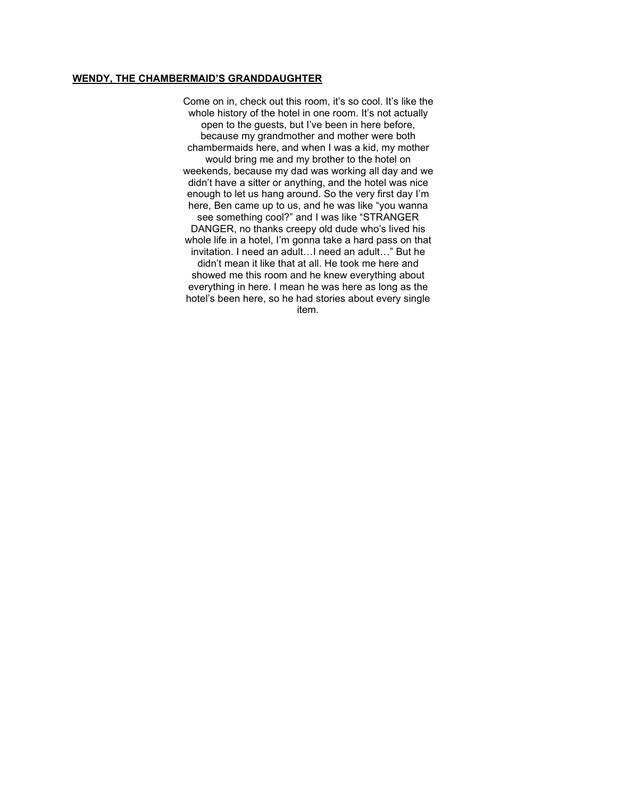# **WENDY, THE CHAMBERMAID'S GRANDDAUGHTER**

Come on in, check out this room, it's so cool. It's like the whole history of the hotel in one room. It's not actually open to the guests, but I've been in here before, because my grandmother and mother were both chambermaids here, and when I was a kid, my mother would bring me and my brother to the hotel on weekends, because my dad was working all day and we didn't have a sitter or anything, and the hotel was nice enough to let us hang around. So the very first day I'm here, Ben came up to us, and he was like "you wanna see something cool?" and I was like "STRANGER DANGER, no thanks creepy old dude who's lived his whole life in a hotel, I'm gonna take a hard pass on that invitation. I need an adult…I need an adult…" But he didn't mean it like that at all. He took me here and showed me this room and he knew everything about everything in here. I mean he was here as long as the hotel's been here, so he had stories about every single item.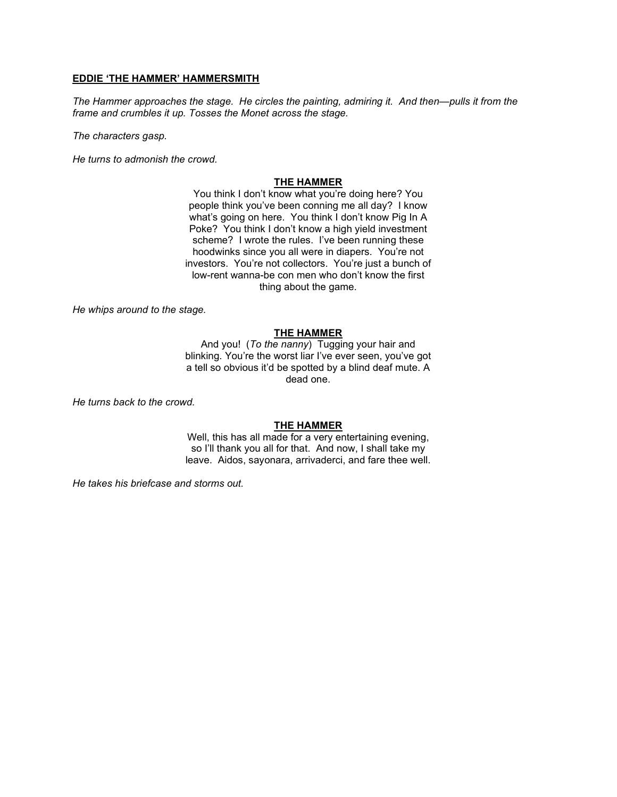## **EDDIE 'THE HAMMER' HAMMERSMITH**

*The Hammer approaches the stage. He circles the painting, admiring it. And then—pulls it from the frame and crumbles it up. Tosses the Monet across the stage.*

*The characters gasp.*

*He turns to admonish the crowd.*

## **THE HAMMER**

You think I don't know what you're doing here? You people think you've been conning me all day? I know what's going on here. You think I don't know Pig In A Poke? You think I don't know a high yield investment scheme? I wrote the rules. I've been running these hoodwinks since you all were in diapers. You're not investors. You're not collectors. You're just a bunch of low-rent wanna-be con men who don't know the first thing about the game.

*He whips around to the stage.*

## **THE HAMMER**

And you! (*To the nanny*) Tugging your hair and blinking. You're the worst liar I've ever seen, you've got a tell so obvious it'd be spotted by a blind deaf mute. A dead one.

*He turns back to the crowd.*

## **THE HAMMER**

Well, this has all made for a very entertaining evening, so I'll thank you all for that. And now, I shall take my leave. Aidos, sayonara, arrivaderci, and fare thee well.

*He takes his briefcase and storms out.*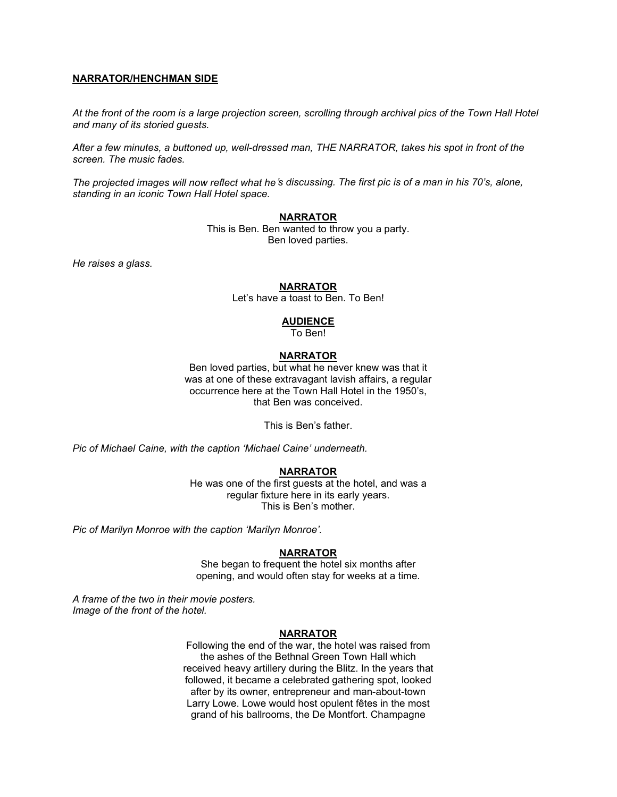## **NARRATOR/HENCHMAN SIDE**

*At the front of the room is a large projection screen, scrolling through archival pics of the Town Hall Hotel and many of its storied guests.*

*After a few minutes, a buttoned up, well-dressed man, THE NARRATOR, takes his spot in front of the screen. The music fades.*

*The projected images will now reflect what he*'*s discussing. The first pic is of a man in his 70's, alone, standing in an iconic Town Hall Hotel space.* 

## **NARRATOR**

This is Ben. Ben wanted to throw you a party. Ben loved parties.

*He raises a glass.*

## **NARRATOR**

Let's have a toast to Ben. To Ben!

## **AUDIENCE**

To Ben!

## **NARRATOR**

Ben loved parties, but what he never knew was that it was at one of these extravagant lavish affairs, a regular occurrence here at the Town Hall Hotel in the 1950's, that Ben was conceived.

This is Ben's father.

*Pic of Michael Caine, with the caption 'Michael Caine' underneath.*

### **NARRATOR**

He was one of the first guests at the hotel, and was a regular fixture here in its early years. This is Ben's mother.

*Pic of Marilyn Monroe with the caption 'Marilyn Monroe'.*

## **NARRATOR**

She began to frequent the hotel six months after opening, and would often stay for weeks at a time.

*A frame of the two in their movie posters. Image of the front of the hotel.*

### **NARRATOR**

Following the end of the war, the hotel was raised from the ashes of the Bethnal Green Town Hall which received heavy artillery during the Blitz. In the years that followed, it became a celebrated gathering spot, looked after by its owner, entrepreneur and man-about-town Larry Lowe. Lowe would host opulent fêtes in the most grand of his ballrooms, the De Montfort. Champagne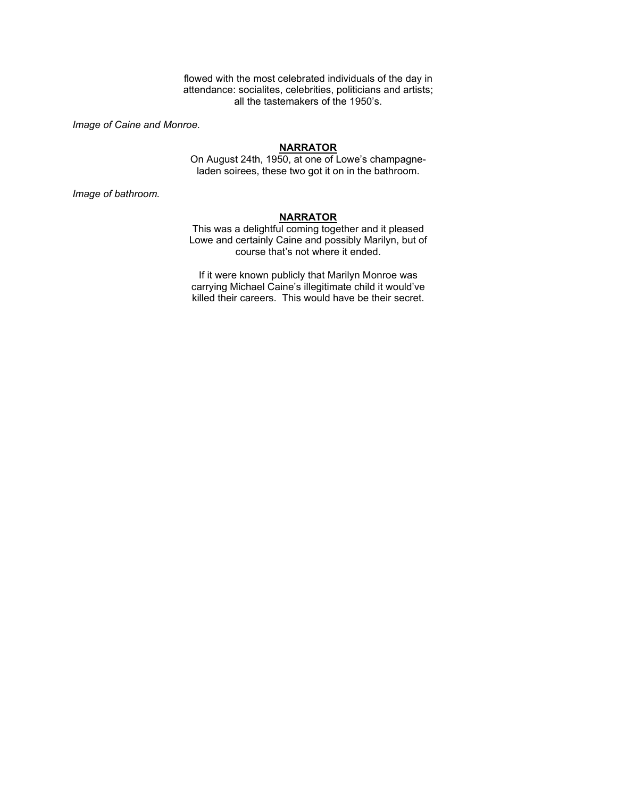flowed with the most celebrated individuals of the day in attendance: socialites, celebrities, politicians and artists; all the tastemakers of the 1950's.

*Image of Caine and Monroe.*

#### **NARRATOR**

On August 24th, 1950, at one of Lowe's champagneladen soirees, these two got it on in the bathroom.

*Image of bathroom.*

## **NARRATOR**

This was a delightful coming together and it pleased Lowe and certainly Caine and possibly Marilyn, but of course that's not where it ended.

If it were known publicly that Marilyn Monroe was carrying Michael Caine's illegitimate child it would've killed their careers. This would have be their secret.